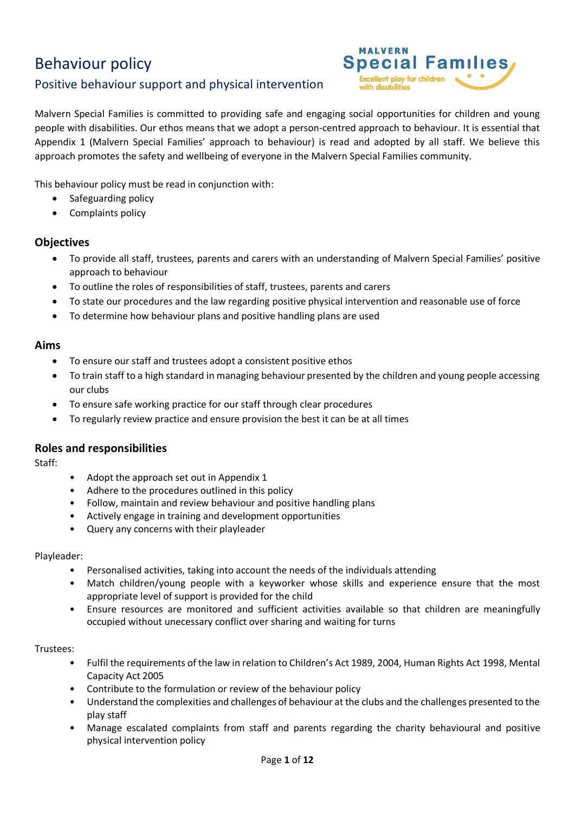# Behaviour policy

# Positive behaviour support and physical intervention



Malvern Special Families is committed to providing safe and engaging social opportunities for children and young people with disabilities. Our ethos means that we adopt a person-centred approach to behaviour. It is essential that Appendix 1 (Malvern Special Families' approach to behaviour) is read and adopted by all staff. We believe this approach promotes the safety and wellbeing of everyone in the Malvern Special Families community.

This behaviour policy must be read in conjunction with:

- Safeguarding policy
- Complaints policy

## **Objectives**

- To provide all staff, trustees, parents and carers with an understanding of Malvern Special Families' positive approach to behaviour
- To outline the roles of responsibilities of staff, trustees, parents and carers
- To state our procedures and the law regarding positive physical intervention and reasonable use of force
- To determine how behaviour plans and positive handling plans are used

#### **Aims**

- To ensure our staff and trustees adopt a consistent positive ethos
- To train staff to a high standard in managing behaviour presented by the children and young people accessing our clubs
- To ensure safe working practice for our staff through clear procedures
- To regularly review practice and ensure provision the best it can be at all times

## **Roles and responsibilities**

Staff:

- Adopt the approach set out in Appendix 1
- Adhere to the procedures outlined in this policy
- Follow, maintain and review behaviour and positive handling plans
- Actively engage in training and development opportunities
- Query any concerns with their playleader

#### Playleader:

- Personalised activities, taking into account the needs of the individuals attending
- Match children/young people with a keyworker whose skills and experience ensure that the most appropriate level of support is provided for the child
- Ensure resources are monitored and sufficient activities available so that children are meaningfully occupied without unecessary conflict over sharing and waiting for turns

#### Trustees:

- Fulfil the requirements of the law in relation to Children's Act 1989, 2004, Human Rights Act 1998, Mental Capacity Act 2005
- Contribute to the formulation or review of the behaviour policy
- Understand the complexities and challenges of behaviour at the clubs and the challenges presented to the play staff
- Manage escalated complaints from staff and parents regarding the charity behavioural and positive physical intervention policy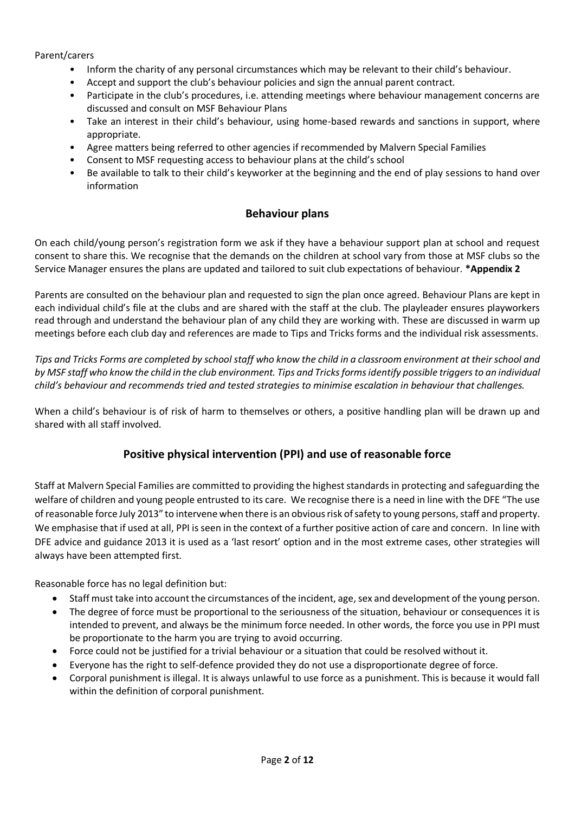#### Parent/carers

- Inform the charity of any personal circumstances which may be relevant to their child's behaviour.
- Accept and support the club's behaviour policies and sign the annual parent contract.
- Participate in the club's procedures, i.e. attending meetings where behaviour management concerns are discussed and consult on MSF Behaviour Plans
- Take an interest in their child's behaviour, using home-based rewards and sanctions in support, where appropriate.
- Agree matters being referred to other agencies if recommended by Malvern Special Families
- Consent to MSF requesting access to behaviour plans at the child's school
- Be available to talk to their child's keyworker at the beginning and the end of play sessions to hand over information

## **Behaviour plans**

On each child/young person's registration form we ask if they have a behaviour support plan at school and request consent to share this. We recognise that the demands on the children at school vary from those at MSF clubs so the Service Manager ensures the plans are updated and tailored to suit club expectations of behaviour. **\*Appendix 2**

Parents are consulted on the behaviour plan and requested to sign the plan once agreed. Behaviour Plans are kept in each individual child's file at the clubs and are shared with the staff at the club. The playleader ensures playworkers read through and understand the behaviour plan of any child they are working with. These are discussed in warm up meetings before each club day and references are made to Tips and Tricks forms and the individual risk assessments.

*Tips and Tricks Forms are completed by school staff who know the child in a classroom environment at their school and by MSF staff who know the child in the club environment. Tips and Tricks forms identify possible triggers to an individual child's behaviour and recommends tried and tested strategies to minimise escalation in behaviour that challenges.* 

When a child's behaviour is of risk of harm to themselves or others, a positive handling plan will be drawn up and shared with all staff involved.

## **Positive physical intervention (PPI) and use of reasonable force**

Staff at Malvern Special Families are committed to providing the highest standards in protecting and safeguarding the welfare of children and young people entrusted to its care. We recognise there is a need in line with the DFE "The use of reasonable force July 2013" to intervene when there is an obvious risk of safety to young persons, staff and property. We emphasise that if used at all, PPI is seen in the context of a further positive action of care and concern. In line with DFE advice and guidance 2013 it is used as a 'last resort' option and in the most extreme cases, other strategies will always have been attempted first.

Reasonable force has no legal definition but:

- Staff must take into account the circumstances of the incident, age, sex and development of the young person.
- The degree of force must be proportional to the seriousness of the situation, behaviour or consequences it is intended to prevent, and always be the minimum force needed. In other words, the force you use in PPI must be proportionate to the harm you are trying to avoid occurring.
- Force could not be justified for a trivial behaviour or a situation that could be resolved without it.
- Everyone has the right to self-defence provided they do not use a disproportionate degree of force.
- Corporal punishment is illegal. It is always unlawful to use force as a punishment. This is because it would fall within the definition of corporal punishment.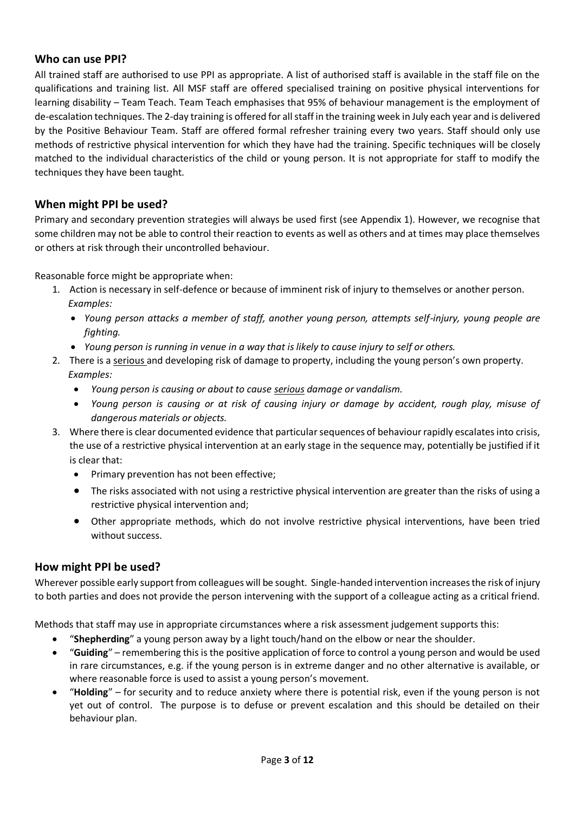#### **Who can use PPI?**

All trained staff are authorised to use PPI as appropriate. A list of authorised staff is available in the staff file on the qualifications and training list. All MSF staff are offered specialised training on positive physical interventions for learning disability – Team Teach. Team Teach emphasises that 95% of behaviour management is the employment of de-escalation techniques. The 2-day training is offered for all staff in the training week in July each year and is delivered by the Positive Behaviour Team. Staff are offered formal refresher training every two years. Staff should only use methods of restrictive physical intervention for which they have had the training. Specific techniques will be closely matched to the individual characteristics of the child or young person. It is not appropriate for staff to modify the techniques they have been taught.

## **When might PPI be used?**

Primary and secondary prevention strategies will always be used first (see Appendix 1). However, we recognise that some children may not be able to control their reaction to events as well as others and at times may place themselves or others at risk through their uncontrolled behaviour.

Reasonable force might be appropriate when:

- 1. Action is necessary in self-defence or because of imminent risk of injury to themselves or another person.  *Examples:*
	- *Young person attacks a member of staff, another young person, attempts self-injury, young people are fighting.*
	- *Young person is running in venue in a way that is likely to cause injury to self or others.*
- 2. There is a serious and developing risk of damage to property, including the young person's own property.  *Examples:*
	- *Young person is causing or about to cause serious damage or vandalism.*
	- *Young person is causing or at risk of causing injury or damage by accident, rough play, misuse of dangerous materials or objects.*
- 3. Where there is clear documented evidence that particular sequences of behaviour rapidly escalates into crisis, the use of a restrictive physical intervention at an early stage in the sequence may, potentially be justified if it is clear that:
	- Primary prevention has not been effective;
	- The risks associated with not using a restrictive physical intervention are greater than the risks of using a restrictive physical intervention and;
	- Other appropriate methods, which do not involve restrictive physical interventions, have been tried without success.

#### **How might PPI be used?**

Wherever possible early support from colleagues will be sought. Single-handed intervention increases the risk of injury to both parties and does not provide the person intervening with the support of a colleague acting as a critical friend.

Methods that staff may use in appropriate circumstances where a risk assessment judgement supports this:

- "**Shepherding**" a young person away by a light touch/hand on the elbow or near the shoulder.
- "**Guiding**" remembering this is the positive application of force to control a young person and would be used in rare circumstances, e.g. if the young person is in extreme danger and no other alternative is available, or where reasonable force is used to assist a young person's movement.
- "**Holding**" for security and to reduce anxiety where there is potential risk, even if the young person is not yet out of control. The purpose is to defuse or prevent escalation and this should be detailed on their behaviour plan.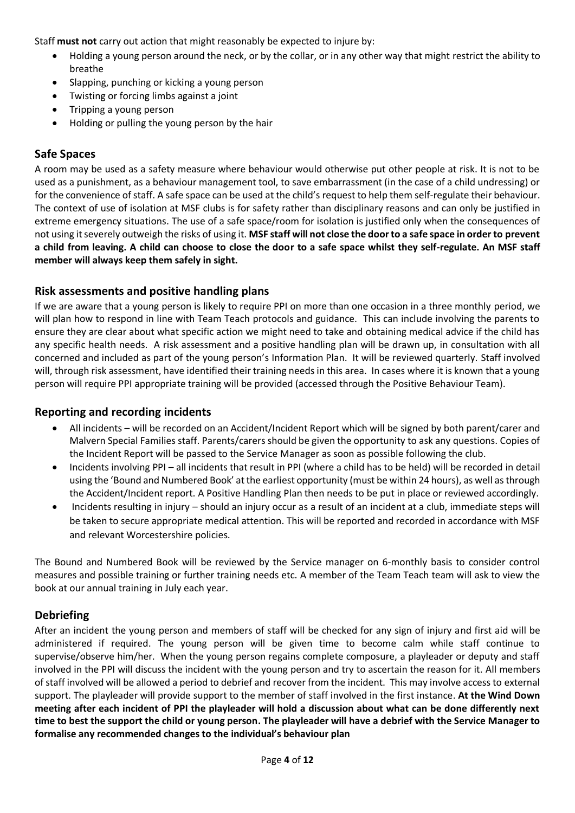Staff **must not** carry out action that might reasonably be expected to injure by:

- Holding a young person around the neck, or by the collar, or in any other way that might restrict the ability to breathe
- Slapping, punching or kicking a young person
- Twisting or forcing limbs against a joint
- Tripping a young person
- Holding or pulling the young person by the hair

## **Safe Spaces**

A room may be used as a safety measure where behaviour would otherwise put other people at risk. It is not to be used as a punishment, as a behaviour management tool, to save embarrassment (in the case of a child undressing) or for the convenience of staff. A safe space can be used at the child's request to help them self-regulate their behaviour. The context of use of isolation at MSF clubs is for safety rather than disciplinary reasons and can only be justified in extreme emergency situations. The use of a safe space/room for isolation is justified only when the consequences of not using it severely outweigh the risks of using it. **MSF staff will not close the door to a safe space in order to prevent a child from leaving. A child can choose to close the door to a safe space whilst they self-regulate. An MSF staff member will always keep them safely in sight.**

## **Risk assessments and positive handling plans**

If we are aware that a young person is likely to require PPI on more than one occasion in a three monthly period, we will plan how to respond in line with Team Teach protocols and guidance. This can include involving the parents to ensure they are clear about what specific action we might need to take and obtaining medical advice if the child has any specific health needs. A risk assessment and a positive handling plan will be drawn up, in consultation with all concerned and included as part of the young person's Information Plan. It will be reviewed quarterly. Staff involved will, through risk assessment, have identified their training needs in this area. In cases where it is known that a young person will require PPI appropriate training will be provided (accessed through the Positive Behaviour Team).

## **Reporting and recording incidents**

- All incidents will be recorded on an Accident/Incident Report which will be signed by both parent/carer and Malvern Special Families staff. Parents/carers should be given the opportunity to ask any questions. Copies of the Incident Report will be passed to the Service Manager as soon as possible following the club.
- Incidents involving PPI all incidents that result in PPI (where a child has to be held) will be recorded in detail using the 'Bound and Numbered Book' at the earliest opportunity (must be within 24 hours), as well as through the Accident/Incident report. A Positive Handling Plan then needs to be put in place or reviewed accordingly.
- Incidents resulting in injury should an injury occur as a result of an incident at a club, immediate steps will be taken to secure appropriate medical attention. This will be reported and recorded in accordance with MSF and relevant Worcestershire policies.

The Bound and Numbered Book will be reviewed by the Service manager on 6-monthly basis to consider control measures and possible training or further training needs etc. A member of the Team Teach team will ask to view the book at our annual training in July each year.

## **Debriefing**

After an incident the young person and members of staff will be checked for any sign of injury and first aid will be administered if required. The young person will be given time to become calm while staff continue to supervise/observe him/her. When the young person regains complete composure, a playleader or deputy and staff involved in the PPI will discuss the incident with the young person and try to ascertain the reason for it. All members of staff involved will be allowed a period to debrief and recover from the incident. This may involve access to external support. The playleader will provide support to the member of staff involved in the first instance. **At the Wind Down meeting after each incident of PPI the playleader will hold a discussion about what can be done differently next time to best the support the child or young person. The playleader will have a debrief with the Service Manager to formalise any recommended changes to the individual's behaviour plan**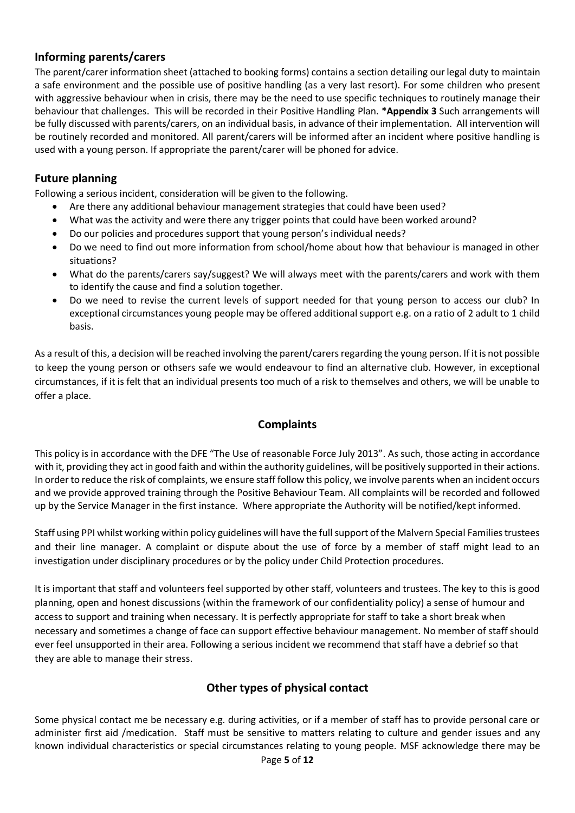## **Informing parents/carers**

The parent/carer information sheet (attached to booking forms) contains a section detailing our legal duty to maintain a safe environment and the possible use of positive handling (as a very last resort). For some children who present with aggressive behaviour when in crisis, there may be the need to use specific techniques to routinely manage their behaviour that challenges. This will be recorded in their Positive Handling Plan. **\*Appendix 3** Such arrangements will be fully discussed with parents/carers, on an individual basis, in advance of their implementation. All intervention will be routinely recorded and monitored. All parent/carers will be informed after an incident where positive handling is used with a young person. If appropriate the parent/carer will be phoned for advice.

## **Future planning**

Following a serious incident, consideration will be given to the following.

- Are there any additional behaviour management strategies that could have been used?
- What was the activity and were there any trigger points that could have been worked around?
- Do our policies and procedures support that young person's individual needs?
- Do we need to find out more information from school/home about how that behaviour is managed in other situations?
- What do the parents/carers say/suggest? We will always meet with the parents/carers and work with them to identify the cause and find a solution together.
- Do we need to revise the current levels of support needed for that young person to access our club? In exceptional circumstances young people may be offered additional support e.g. on a ratio of 2 adult to 1 child basis.

As a result of this, a decision will be reached involving the parent/carers regarding the young person. If it is not possible to keep the young person or othsers safe we would endeavour to find an alternative club. However, in exceptional circumstances, if it is felt that an individual presents too much of a risk to themselves and others, we will be unable to offer a place.

## **Complaints**

This policy is in accordance with the DFE "The Use of reasonable Force July 2013". As such, those acting in accordance with it, providing they act in good faith and within the authority guidelines, will be positively supported in their actions. In order to reduce the risk of complaints, we ensure staff follow this policy, we involve parents when an incident occurs and we provide approved training through the Positive Behaviour Team. All complaints will be recorded and followed up by the Service Manager in the first instance. Where appropriate the Authority will be notified/kept informed.

Staff using PPI whilst working within policy guidelines will have the full support of the Malvern Special Families trustees and their line manager. A complaint or dispute about the use of force by a member of staff might lead to an investigation under disciplinary procedures or by the policy under Child Protection procedures.

It is important that staff and volunteers feel supported by other staff, volunteers and trustees. The key to this is good planning, open and honest discussions (within the framework of our confidentiality policy) a sense of humour and access to support and training when necessary. It is perfectly appropriate for staff to take a short break when necessary and sometimes a change of face can support effective behaviour management. No member of staff should ever feel unsupported in their area. Following a serious incident we recommend that staff have a debrief so that they are able to manage their stress.

# **Other types of physical contact**

Some physical contact me be necessary e.g. during activities, or if a member of staff has to provide personal care or administer first aid /medication. Staff must be sensitive to matters relating to culture and gender issues and any known individual characteristics or special circumstances relating to young people. MSF acknowledge there may be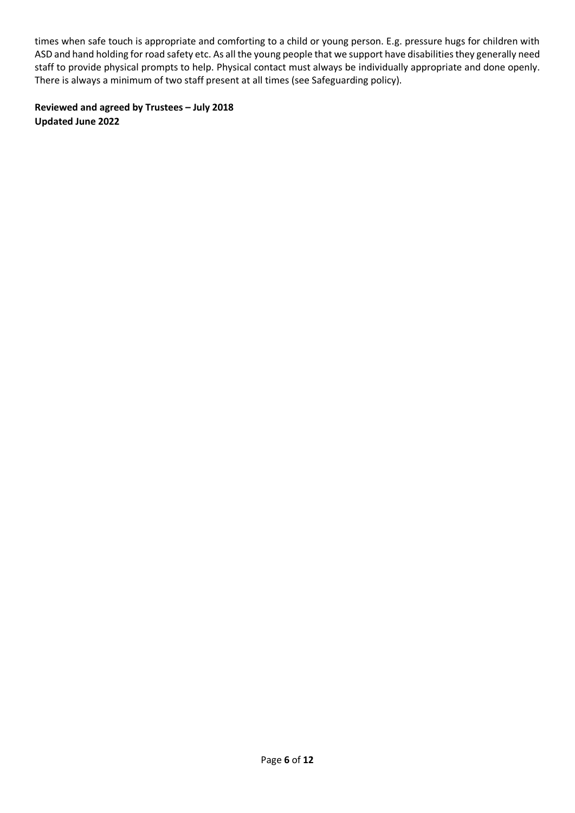times when safe touch is appropriate and comforting to a child or young person. E.g. pressure hugs for children with ASD and hand holding for road safety etc. As all the young people that we support have disabilities they generally need staff to provide physical prompts to help. Physical contact must always be individually appropriate and done openly. There is always a minimum of two staff present at all times (see Safeguarding policy).

**Reviewed and agreed by Trustees – July 2018 Updated June 2022**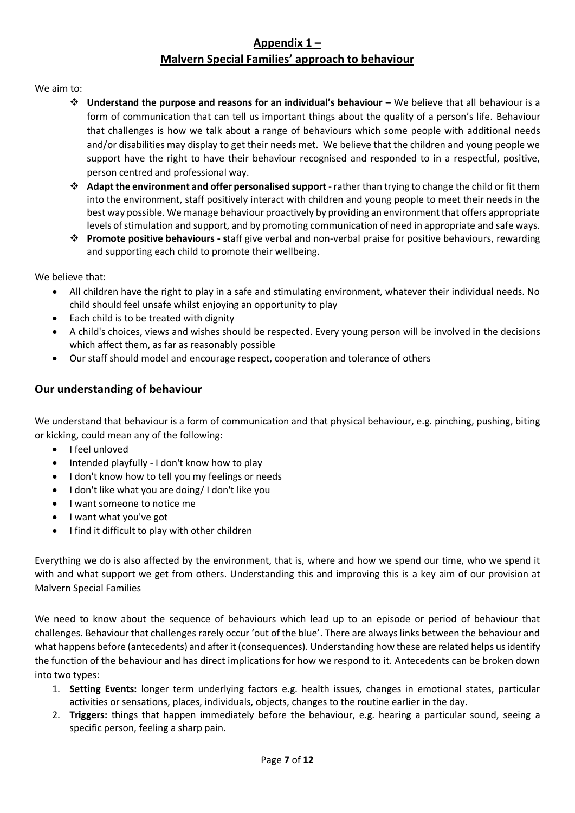## **Appendix 1 – Malvern Special Families' approach to behaviour**

We aim to:

- ❖ **Understand the purpose and reasons for an individual's behaviour –** We believe that all behaviour is a form of communication that can tell us important things about the quality of a person's life. Behaviour that challenges is how we talk about a range of behaviours which some people with additional needs and/or disabilities may display to get their needs met. We believe that the children and young people we support have the right to have their behaviour recognised and responded to in a respectful, positive, person centred and professional way.
- ❖ **Adapt the environment and offer personalised support** -rather than trying to change the child or fit them into the environment, staff positively interact with children and young people to meet their needs in the best way possible. We manage behaviour proactively by providing an environment that offers appropriate levels of stimulation and support, and by promoting communication of need in appropriate and safe ways.
- ❖ **Promote positive behaviours - s**taff give verbal and non-verbal praise for positive behaviours, rewarding and supporting each child to promote their wellbeing.

We believe that:

- All children have the right to play in a safe and stimulating environment, whatever their individual needs. No child should feel unsafe whilst enjoying an opportunity to play
- Each child is to be treated with dignity
- A child's choices, views and wishes should be respected. Every young person will be involved in the decisions which affect them, as far as reasonably possible
- Our staff should model and encourage respect, cooperation and tolerance of others

## **Our understanding of behaviour**

We understand that behaviour is a form of communication and that physical behaviour, e.g. pinching, pushing, biting or kicking, could mean any of the following:

- I feel unloved
- Intended playfully I don't know how to play
- I don't know how to tell you my feelings or needs
- I don't like what you are doing/ I don't like you
- I want someone to notice me
- I want what you've got
- I find it difficult to play with other children

Everything we do is also affected by the environment, that is, where and how we spend our time, who we spend it with and what support we get from others. Understanding this and improving this is a key aim of our provision at Malvern Special Families

We need to know about the sequence of behaviours which lead up to an episode or period of behaviour that challenges. Behaviour that challenges rarely occur 'out of the blue'. There are alwayslinks between the behaviour and what happens before (antecedents) and after it (consequences). Understanding how these are related helps usidentify the function of the behaviour and has direct implications for how we respond to it. Antecedents can be broken down into two types:

- 1. **Setting Events:** longer term underlying factors e.g. health issues, changes in emotional states, particular activities or sensations, places, individuals, objects, changes to the routine earlier in the day.
- 2. **Triggers:** things that happen immediately before the behaviour, e.g. hearing a particular sound, seeing a specific person, feeling a sharp pain.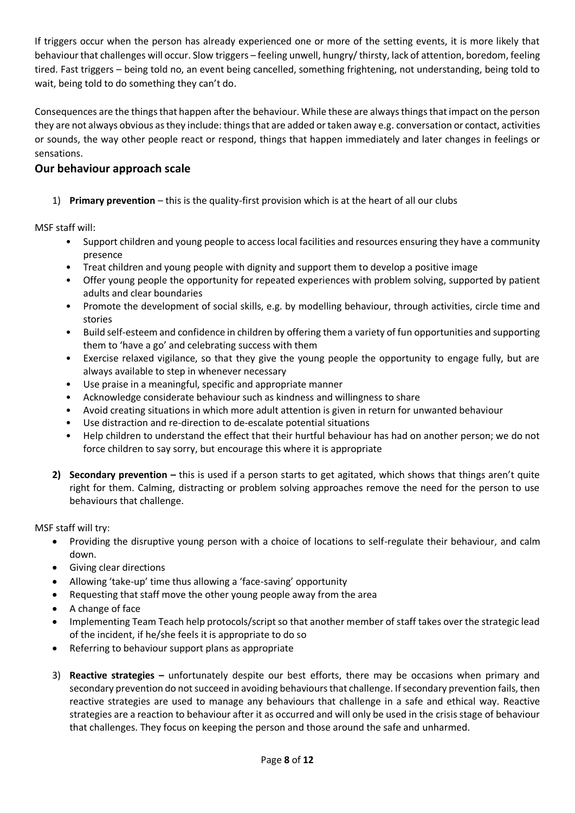If triggers occur when the person has already experienced one or more of the setting events, it is more likely that behaviour that challenges will occur. Slow triggers – feeling unwell, hungry/ thirsty, lack of attention, boredom, feeling tired. Fast triggers – being told no, an event being cancelled, something frightening, not understanding, being told to wait, being told to do something they can't do.

Consequences are the things that happen after the behaviour. While these are always things that impact on the person they are not always obvious as they include: things that are added or taken away e.g. conversation or contact, activities or sounds, the way other people react or respond, things that happen immediately and later changes in feelings or sensations.

## **Our behaviour approach scale**

1) **Primary prevention** – this is the quality-first provision which is at the heart of all our clubs

MSF staff will:

- Support children and young people to access local facilities and resources ensuring they have a community presence
- Treat children and young people with dignity and support them to develop a positive image
- Offer young people the opportunity for repeated experiences with problem solving, supported by patient adults and clear boundaries
- Promote the development of social skills, e.g. by modelling behaviour, through activities, circle time and stories
- Build self-esteem and confidence in children by offering them a variety of fun opportunities and supporting them to 'have a go' and celebrating success with them
- Exercise relaxed vigilance, so that they give the young people the opportunity to engage fully, but are always available to step in whenever necessary
- Use praise in a meaningful, specific and appropriate manner
- Acknowledge considerate behaviour such as kindness and willingness to share
- Avoid creating situations in which more adult attention is given in return for unwanted behaviour
- Use distraction and re-direction to de-escalate potential situations
- Help children to understand the effect that their hurtful behaviour has had on another person; we do not force children to say sorry, but encourage this where it is appropriate
- **2) Secondary prevention –** this is used if a person starts to get agitated, which shows that things aren't quite right for them. Calming, distracting or problem solving approaches remove the need for the person to use behaviours that challenge.

MSF staff will try:

- Providing the disruptive young person with a choice of locations to self-regulate their behaviour, and calm down.
- Giving clear directions
- Allowing 'take-up' time thus allowing a 'face-saving' opportunity
- Requesting that staff move the other young people away from the area
- A change of face
- Implementing Team Teach help protocols/script so that another member of staff takes over the strategic lead of the incident, if he/she feels it is appropriate to do so
- Referring to behaviour support plans as appropriate
- 3) **Reactive strategies –** unfortunately despite our best efforts, there may be occasions when primary and secondary prevention do not succeed in avoiding behaviours that challenge. If secondary prevention fails, then reactive strategies are used to manage any behaviours that challenge in a safe and ethical way. Reactive strategies are a reaction to behaviour after it as occurred and will only be used in the crisis stage of behaviour that challenges. They focus on keeping the person and those around the safe and unharmed.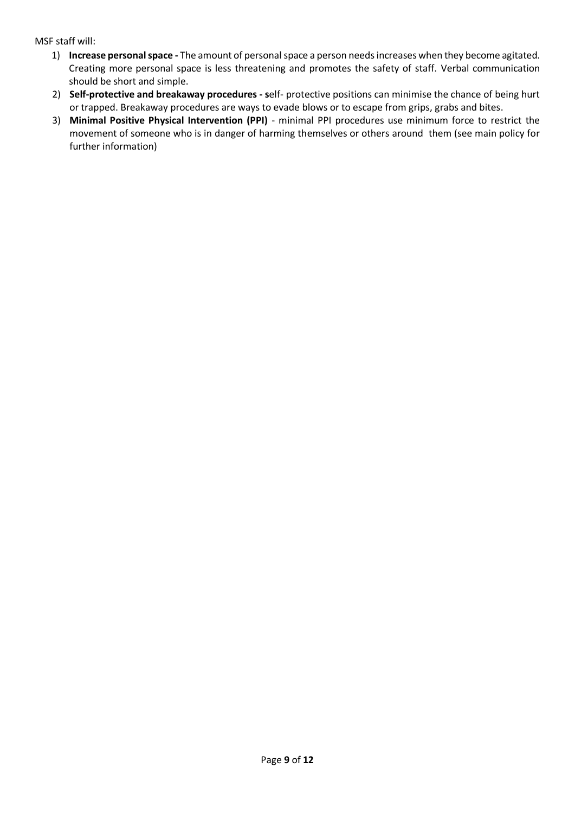MSF staff will:

- 1) **Increase personal space -** The amount of personal space a person needs increases when they become agitated. Creating more personal space is less threatening and promotes the safety of staff. Verbal communication should be short and simple.
- 2) **Self-protective and breakaway procedures - s**elf- protective positions can minimise the chance of being hurt or trapped. Breakaway procedures are ways to evade blows or to escape from grips, grabs and bites.
- 3) **Minimal Positive Physical Intervention (PPI)** minimal PPI procedures use minimum force to restrict the movement of someone who is in danger of harming themselves or others around them (see main policy for further information)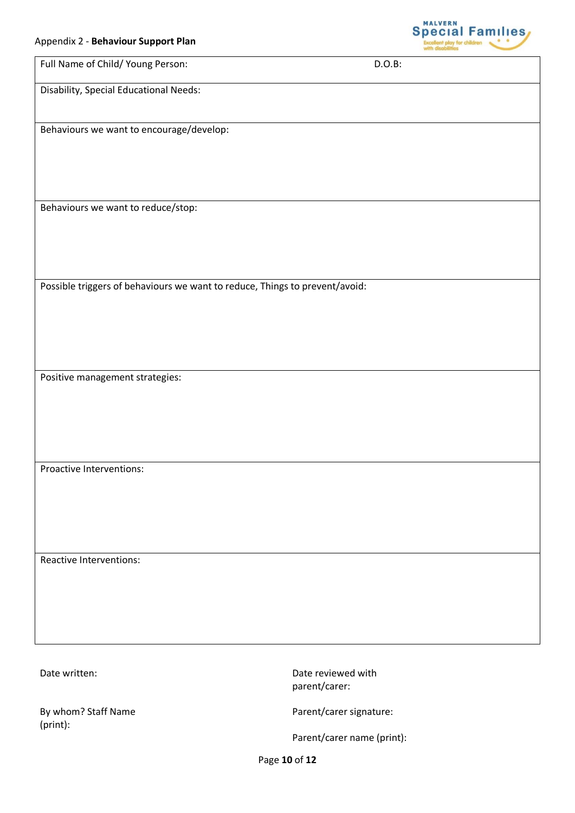

| Appendix 2 - Benaviour Support Plan                                         |           |  |
|-----------------------------------------------------------------------------|-----------|--|
| Full Name of Child/ Young Person:                                           | $D.O.B$ : |  |
| Disability, Special Educational Needs:                                      |           |  |
| Behaviours we want to encourage/develop:                                    |           |  |
| Behaviours we want to reduce/stop:                                          |           |  |
| Possible triggers of behaviours we want to reduce, Things to prevent/avoid: |           |  |
| Positive management strategies:                                             |           |  |
| Proactive Interventions:                                                    |           |  |
| Reactive Interventions:                                                     |           |  |

By whom? Staff Name (print):

Date written: Date reviewed with parent/carer:

Parent/carer signature:

Parent/carer name (print):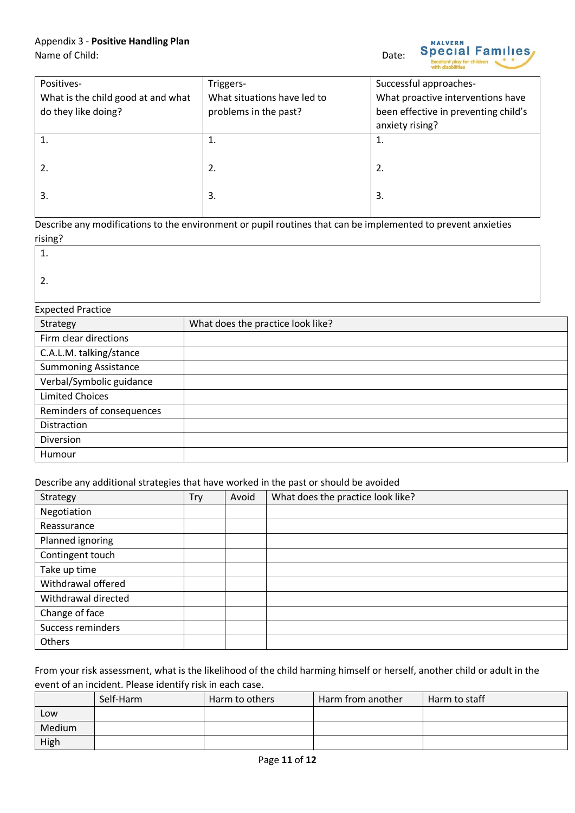| Positives-                         | Triggers-                   | Successful approaches-               |
|------------------------------------|-----------------------------|--------------------------------------|
| What is the child good at and what | What situations have led to | What proactive interventions have    |
| do they like doing?                | problems in the past?       | been effective in preventing child's |
|                                    |                             | anxiety rising?                      |
|                                    | 1.                          | 1.                                   |
|                                    |                             |                                      |
| 2.                                 | 2.                          | 2.                                   |
|                                    |                             |                                      |
| 3.                                 | 3.                          | 3.                                   |
|                                    |                             |                                      |

Describe any modifications to the environment or pupil routines that can be implemented to prevent anxieties rising?

| L. | г<br>- |  |
|----|--------|--|
|    |        |  |

2.

#### Expected Practice

| $ \sim$ $ \sim$ $ \sim$ $ \sim$ $ \sim$ $ \sim$ $ \sim$ $ \sim$ $ \sim$ $ \sim$ $ \sim$ $ \sim$ $ \sim$ $ \sim$ $ \sim$ $ \sim$ $ \sim$ $ \sim$ $ \sim$ $ \sim$ $ \sim$ $ \sim$ $ \sim$ $ \sim$ $-$ |                                   |
|-----------------------------------------------------------------------------------------------------------------------------------------------------------------------------------------------------|-----------------------------------|
| Strategy                                                                                                                                                                                            | What does the practice look like? |
| Firm clear directions                                                                                                                                                                               |                                   |
| C.A.L.M. talking/stance                                                                                                                                                                             |                                   |
| <b>Summoning Assistance</b>                                                                                                                                                                         |                                   |
| Verbal/Symbolic guidance                                                                                                                                                                            |                                   |
| <b>Limited Choices</b>                                                                                                                                                                              |                                   |
| Reminders of consequences                                                                                                                                                                           |                                   |
| Distraction                                                                                                                                                                                         |                                   |
| Diversion                                                                                                                                                                                           |                                   |
| Humour                                                                                                                                                                                              |                                   |

#### Describe any additional strategies that have worked in the past or should be avoided

| Strategy            | Try | Avoid | What does the practice look like? |
|---------------------|-----|-------|-----------------------------------|
| Negotiation         |     |       |                                   |
| Reassurance         |     |       |                                   |
| Planned ignoring    |     |       |                                   |
| Contingent touch    |     |       |                                   |
| Take up time        |     |       |                                   |
| Withdrawal offered  |     |       |                                   |
| Withdrawal directed |     |       |                                   |
| Change of face      |     |       |                                   |
| Success reminders   |     |       |                                   |
| Others              |     |       |                                   |

From your risk assessment, what is the likelihood of the child harming himself or herself, another child or adult in the event of an incident. Please identify risk in each case.

|        | Self-Harm | Harm to others | Harm from another | Harm to staff |
|--------|-----------|----------------|-------------------|---------------|
| Low    |           |                |                   |               |
| Medium |           |                |                   |               |
| High   |           |                |                   |               |